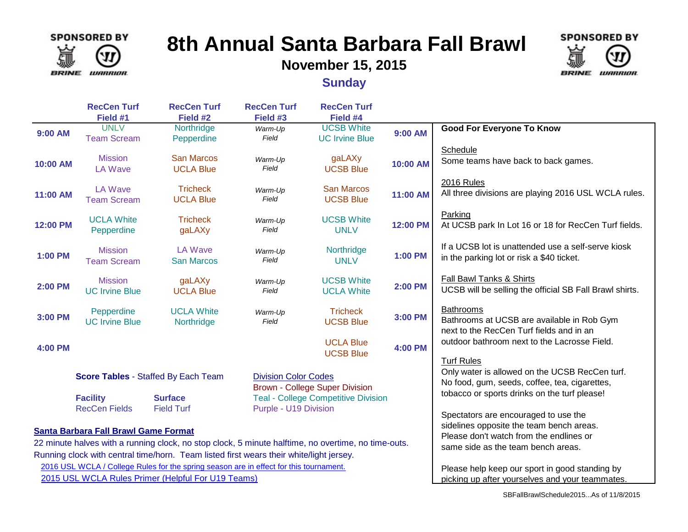

# **8th Annual Santa Barbara Fall Brawl**

**November 15, 2015**



**Sunday**

|                                                                                                     | <b>RecCen Turf</b><br>Field #1          | <b>RecCen Turf</b><br>Field #2        | <b>RecCen Turf</b><br>Field #3                                      | <b>RecCen Turf</b><br>Field #4             |                                                                                     |                                                                                                                                                                      |
|-----------------------------------------------------------------------------------------------------|-----------------------------------------|---------------------------------------|---------------------------------------------------------------------|--------------------------------------------|-------------------------------------------------------------------------------------|----------------------------------------------------------------------------------------------------------------------------------------------------------------------|
| 9:00 AM                                                                                             | <b>UNLV</b><br><b>Team Scream</b>       | Northridge<br>Pepperdine              | Warm-Up<br>Field                                                    | <b>UCSB White</b><br><b>UC Irvine Blue</b> | 9:00 AM                                                                             | <b>Good For Everyone To Know</b>                                                                                                                                     |
| 10:00 AM                                                                                            | <b>Mission</b><br><b>LA Wave</b>        | <b>San Marcos</b><br><b>UCLA Blue</b> | Warm-Up<br>Field                                                    | gaLAXy<br><b>UCSB Blue</b>                 | 10:00 AM                                                                            | Schedule<br>Some teams have back to back games.                                                                                                                      |
| 11:00 AM                                                                                            | <b>LA Wave</b><br><b>Team Scream</b>    | <b>Tricheck</b><br><b>UCLA Blue</b>   | Warm-Up<br>Field                                                    | <b>San Marcos</b><br><b>UCSB Blue</b>      | 11:00 AM                                                                            | 2016 Rules<br>All three divisions are playing 2016 USL WCLA rules.                                                                                                   |
| 12:00 PM                                                                                            | <b>UCLA White</b><br>Pepperdine         | <b>Tricheck</b><br>gaLAXy             | Warm-Up<br>Field                                                    | <b>UCSB White</b><br><b>UNLV</b>           | 12:00 PM                                                                            | Parking<br>At UCSB park In Lot 16 or 18 for RecCen Turf fields.                                                                                                      |
| 1:00 PM                                                                                             | <b>Mission</b><br><b>Team Scream</b>    | <b>LA Wave</b><br><b>San Marcos</b>   | Warm-Up<br>Field                                                    | Northridge<br><b>UNLV</b>                  | 1:00 PM                                                                             | If a UCSB lot is unattended use a self-serve kiosk<br>in the parking lot or risk a \$40 ticket.                                                                      |
| <b>2:00 PM</b>                                                                                      | <b>Mission</b><br><b>UC Irvine Blue</b> | gaLAXy<br><b>UCLA Blue</b>            | Warm-Up<br>Field                                                    | <b>UCSB White</b><br><b>UCLA White</b>     | 2:00 PM                                                                             | Fall Bawl Tanks & Shirts<br>UCSB will be selling the official SB Fall Brawl shirts.                                                                                  |
| 3:00 PM                                                                                             | Pepperdine<br><b>UC Irvine Blue</b>     | <b>UCLA White</b><br>Northridge       | Warm-Up<br>Field                                                    | <b>Tricheck</b><br><b>UCSB Blue</b>        | 3:00 PM                                                                             | <b>Bathrooms</b><br>Bathrooms at UCSB are available in Rob Gym<br>next to the RecCen Turf fields and in an                                                           |
| <b>4:00 PM</b>                                                                                      |                                         |                                       |                                                                     | <b>UCLA Blue</b><br><b>UCSB Blue</b>       | <b>4:00 PM</b>                                                                      | outdoor bathroom next to the Lacrosse Field.                                                                                                                         |
| Score Tables - Staffed By Each Team                                                                 |                                         |                                       | <b>Division Color Codes</b>                                         | <b>Brown - College Super Division</b>      |                                                                                     | <b>Turf Rules</b><br>Only water is allowed on the UCSB RecCen turf.<br>No food, gum, seeds, coffee, tea, cigarettes,<br>tobacco or sports drinks on the turf please! |
|                                                                                                     | <b>Facility</b><br><b>RecCen Fields</b> | <b>Surface</b><br><b>Field Turf</b>   | <b>Teal - College Competitive Division</b><br>Purple - U19 Division |                                            |                                                                                     | Spectators are encouraged to use the                                                                                                                                 |
| <b>Santa Barbara Fall Brawl Game Format</b>                                                         |                                         |                                       |                                                                     |                                            | sidelines opposite the team bench areas.<br>Please don't watch from the endlines or |                                                                                                                                                                      |
| 22 minute halves with a running clock, no stop clock, 5 minute halftime, no overtime, no time-outs. |                                         |                                       |                                                                     |                                            | same side as the team bench areas.                                                  |                                                                                                                                                                      |
| Running clock with central time/horn. Team listed first wears their white/light jersey.             |                                         |                                       |                                                                     |                                            |                                                                                     |                                                                                                                                                                      |
| 2016 USL WCLA / College Rules for the spring season are in effect for this tournament.              |                                         |                                       |                                                                     |                                            | Please help keep our sport in good standing by                                      |                                                                                                                                                                      |
| 2015 USL WCLA Rules Primer (Helpful For U19 Teams)                                                  |                                         |                                       |                                                                     |                                            | picking up after yourselves and your teammates.                                     |                                                                                                                                                                      |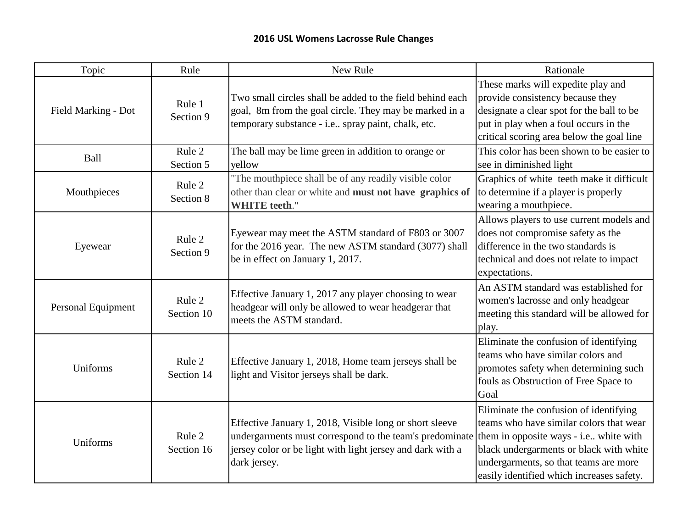| Topic               | Rule                 | New Rule                                                                                                                                                                                                                                | Rationale                                                                                                                                                                                                          |
|---------------------|----------------------|-----------------------------------------------------------------------------------------------------------------------------------------------------------------------------------------------------------------------------------------|--------------------------------------------------------------------------------------------------------------------------------------------------------------------------------------------------------------------|
| Field Marking - Dot | Rule 1<br>Section 9  | Two small circles shall be added to the field behind each<br>goal, 8m from the goal circle. They may be marked in a<br>temporary substance - i.e spray paint, chalk, etc.                                                               | These marks will expedite play and<br>provide consistency because they<br>designate a clear spot for the ball to be<br>put in play when a foul occurs in the<br>critical scoring area below the goal line          |
| <b>Ball</b>         | Rule 2<br>Section 5  | The ball may be lime green in addition to orange or<br>yellow                                                                                                                                                                           | This color has been shown to be easier to<br>see in diminished light                                                                                                                                               |
| Mouthpieces         | Rule 2<br>Section 8  | The mouthpiece shall be of any readily visible color<br>other than clear or white and must not have graphics of<br><b>WHITE</b> teeth."                                                                                                 | Graphics of white teeth make it difficult<br>to determine if a player is properly<br>wearing a mouthpiece.                                                                                                         |
| Eyewear             | Rule 2<br>Section 9  | Eyewear may meet the ASTM standard of F803 or 3007<br>for the 2016 year. The new ASTM standard (3077) shall<br>be in effect on January 1, 2017.                                                                                         | Allows players to use current models and<br>does not compromise safety as the<br>difference in the two standards is<br>technical and does not relate to impact<br>expectations.                                    |
| Personal Equipment  | Rule 2<br>Section 10 | Effective January 1, 2017 any player choosing to wear<br>headgear will only be allowed to wear headgerar that<br>meets the ASTM standard.                                                                                               | An ASTM standard was established for<br>women's lacrosse and only headgear<br>meeting this standard will be allowed for<br>play.                                                                                   |
| Uniforms            | Rule 2<br>Section 14 | Effective January 1, 2018, Home team jerseys shall be<br>light and Visitor jerseys shall be dark.                                                                                                                                       | Eliminate the confusion of identifying<br>teams who have similar colors and<br>promotes safety when determining such<br>fouls as Obstruction of Free Space to<br>Goal                                              |
| Uniforms            | Rule 2<br>Section 16 | Effective January 1, 2018, Visible long or short sleeve<br>undergarments must correspond to the team's predominate them in opposite ways - i.e white with<br>jersey color or be light with light jersey and dark with a<br>dark jersey. | Eliminate the confusion of identifying<br>teams who have similar colors that wear<br>black undergarments or black with white<br>undergarments, so that teams are more<br>easily identified which increases safety. |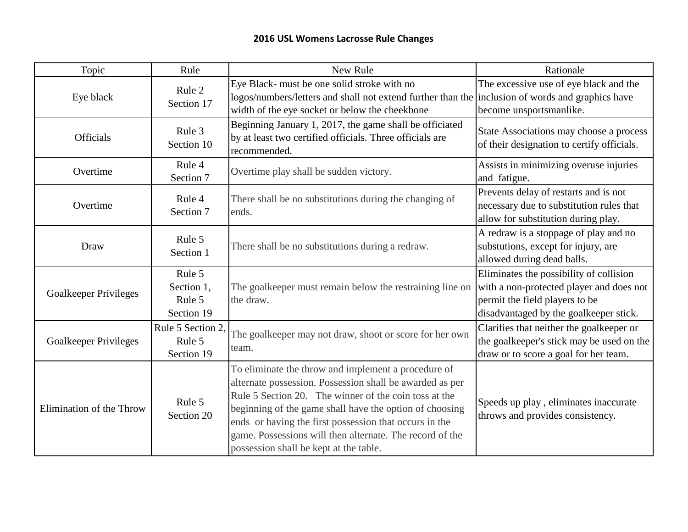| Topic                    | Rule                                                          | New Rule                                                                                                                                                                                                                                                                                                                                                                                            | Rationale                                                                                                                                                       |
|--------------------------|---------------------------------------------------------------|-----------------------------------------------------------------------------------------------------------------------------------------------------------------------------------------------------------------------------------------------------------------------------------------------------------------------------------------------------------------------------------------------------|-----------------------------------------------------------------------------------------------------------------------------------------------------------------|
| Eye black                | Rule 2<br>Section 17                                          | Eye Black- must be one solid stroke with no<br>logos/numbers/letters and shall not extend further than the inclusion of words and graphics have<br>width of the eye socket or below the cheekbone                                                                                                                                                                                                   | The excessive use of eye black and the<br>become unsportsmanlike.                                                                                               |
| <b>Officials</b>         | Rule 3<br>Section 10                                          | Beginning January 1, 2017, the game shall be officiated<br>by at least two certified officials. Three officials are<br>recommended.                                                                                                                                                                                                                                                                 | State Associations may choose a process<br>of their designation to certify officials.                                                                           |
| Overtime                 | Rule 4<br>Overtime play shall be sudden victory.<br>Section 7 |                                                                                                                                                                                                                                                                                                                                                                                                     | Assists in minimizing overuse injuries<br>and fatigue.                                                                                                          |
| Overtime                 | Rule 4<br>Section 7                                           | There shall be no substitutions during the changing of<br>ends.                                                                                                                                                                                                                                                                                                                                     | Prevents delay of restarts and is not<br>necessary due to substitution rules that<br>allow for substitution during play.                                        |
| Draw                     | Rule 5<br>Section 1                                           | There shall be no substitutions during a redraw.                                                                                                                                                                                                                                                                                                                                                    | A redraw is a stoppage of play and no<br>substutions, except for injury, are<br>allowed during dead balls.                                                      |
| Goalkeeper Privileges    | Rule 5<br>Section 1,<br>Rule 5<br>Section 19                  | The goalkeeper must remain below the restraining line on<br>the draw.                                                                                                                                                                                                                                                                                                                               | Eliminates the possibility of collision<br>with a non-protected player and does not<br>permit the field players to be<br>disadvantaged by the goalkeeper stick. |
| Goalkeeper Privileges    | Rule 5 Section 2,<br>Rule 5<br>Section 19                     | The goalkeeper may not draw, shoot or score for her own<br>team.                                                                                                                                                                                                                                                                                                                                    | Clarifies that neither the goalkeeper or<br>the goalkeeper's stick may be used on the<br>draw or to score a goal for her team.                                  |
| Elimination of the Throw | Rule 5<br>Section 20                                          | To eliminate the throw and implement a procedure of<br>alternate possession. Possession shall be awarded as per<br>Rule 5 Section 20. The winner of the coin toss at the<br>beginning of the game shall have the option of choosing<br>ends or having the first possession that occurs in the<br>game. Possessions will then alternate. The record of the<br>possession shall be kept at the table. | Speeds up play, eliminates inaccurate<br>throws and provides consistency.                                                                                       |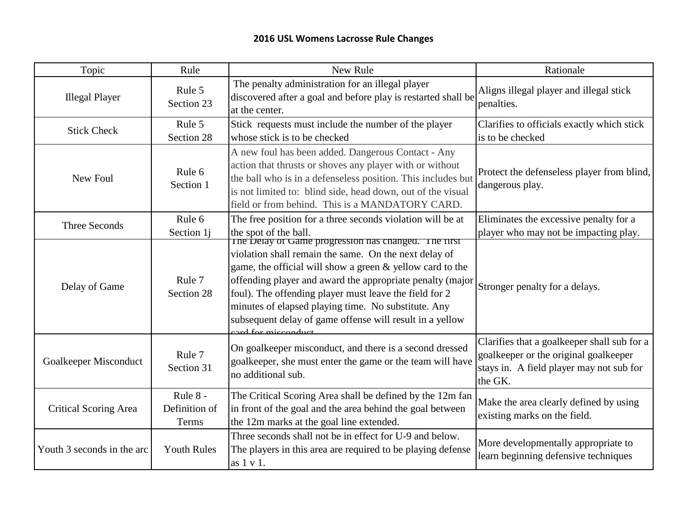| Topic                                                                                                                                                                                   | Rule<br>New Rule                                                                                                                                                                                         |                                                                                                                                                                                                                                                                                                                                                                                                                                             | Rationale                                                                                                                                   |
|-----------------------------------------------------------------------------------------------------------------------------------------------------------------------------------------|----------------------------------------------------------------------------------------------------------------------------------------------------------------------------------------------------------|---------------------------------------------------------------------------------------------------------------------------------------------------------------------------------------------------------------------------------------------------------------------------------------------------------------------------------------------------------------------------------------------------------------------------------------------|---------------------------------------------------------------------------------------------------------------------------------------------|
| <b>Illegal Player</b>                                                                                                                                                                   | Rule 5<br>Section 23                                                                                                                                                                                     | The penalty administration for an illegal player<br>discovered after a goal and before play is restarted shall be<br>at the center.                                                                                                                                                                                                                                                                                                         | Aligns illegal player and illegal stick<br>penalties.                                                                                       |
| <b>Stick Check</b>                                                                                                                                                                      | Rule 5<br>Section 28                                                                                                                                                                                     | Stick requests must include the number of the player<br>whose stick is to be checked                                                                                                                                                                                                                                                                                                                                                        | Clarifies to officials exactly which stick<br>is to be checked                                                                              |
| Rule 6<br>New Foul<br>Section 1                                                                                                                                                         |                                                                                                                                                                                                          | A new foul has been added. Dangerous Contact - Any<br>action that thrusts or shoves any player with or without<br>the ball who is in a defenseless position. This includes but<br>is not limited to: blind side, head down, out of the visual<br>field or from behind. This is a MANDATORY CARD.                                                                                                                                            | Protect the defenseless player from blind,<br>dangerous play.                                                                               |
| <b>Three Seconds</b>                                                                                                                                                                    | Rule 6<br>Section 1j                                                                                                                                                                                     | The free position for a three seconds violation will be at<br>the spot of the ball.                                                                                                                                                                                                                                                                                                                                                         | Eliminates the excessive penalty for a<br>player who may not be impacting play.                                                             |
| Delay of Game                                                                                                                                                                           | Rule 7<br>Section 28                                                                                                                                                                                     | The Delay of Game progression has changed. The first<br>violation shall remain the same. On the next delay of<br>game, the official will show a green & yellow card to the<br>offending player and award the appropriate penalty (major<br>foul). The offending player must leave the field for 2<br>minutes of elapsed playing time. No substitute. Any<br>subsequent delay of game offense will result in a yellow<br>card for misconduct | Stronger penalty for a delays.                                                                                                              |
| Goalkeeper Misconduct                                                                                                                                                                   | On goalkeeper misconduct, and there is a second dressed<br>Rule 7<br>goalkeeper, she must enter the game or the team will have<br>Section 31<br>no additional sub.                                       |                                                                                                                                                                                                                                                                                                                                                                                                                                             | Clarifies that a goalkeeper shall sub for a<br>goalkeeper or the original goalkeeper<br>stays in. A field player may not sub for<br>the GK. |
| <b>Critical Scoring Area</b>                                                                                                                                                            | Rule 8 -<br>The Critical Scoring Area shall be defined by the 12m fan<br>in front of the goal and the area behind the goal between<br>Definition of<br>the 12m marks at the goal line extended.<br>Terms |                                                                                                                                                                                                                                                                                                                                                                                                                                             | Make the area clearly defined by using<br>existing marks on the field.                                                                      |
| Three seconds shall not be in effect for U-9 and below.<br>Youth 3 seconds in the arc<br><b>Youth Rules</b><br>The players in this area are required to be playing defense<br>as 1 v 1. |                                                                                                                                                                                                          | More developmentally appropriate to<br>learn beginning defensive techniques                                                                                                                                                                                                                                                                                                                                                                 |                                                                                                                                             |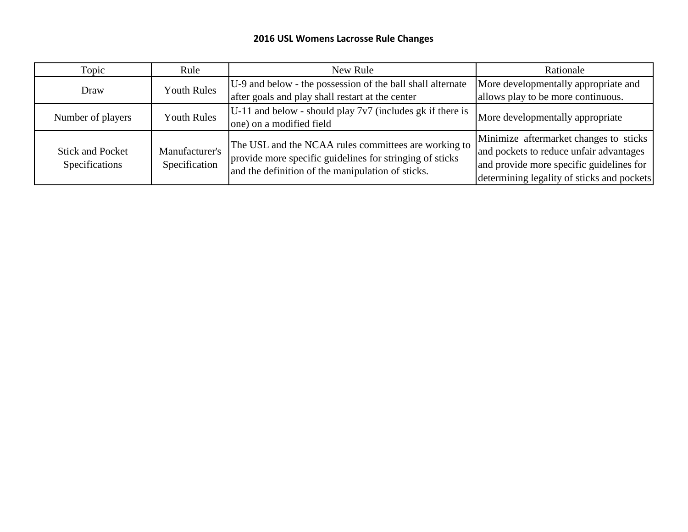| Topic                                     | Rule                            | New Rule                                                                                                                                                              | Rationale                                                                                                                                                                   |
|-------------------------------------------|---------------------------------|-----------------------------------------------------------------------------------------------------------------------------------------------------------------------|-----------------------------------------------------------------------------------------------------------------------------------------------------------------------------|
| Draw                                      | <b>Youth Rules</b>              | U-9 and below - the possession of the ball shall alternate<br>after goals and play shall restart at the center                                                        | More developmentally appropriate and<br>allows play to be more continuous.                                                                                                  |
| Number of players                         | <b>Youth Rules</b>              | $U-11$ and below - should play $7v7$ (includes gk if there is<br>one) on a modified field                                                                             | More developmentally appropriate                                                                                                                                            |
| <b>Stick and Pocket</b><br>Specifications | Manufacturer's<br>Specification | The USL and the NCAA rules committees are working to<br>provide more specific guidelines for stringing of sticks<br>and the definition of the manipulation of sticks. | Minimize aftermarket changes to sticks<br>and pockets to reduce unfair advantages<br>and provide more specific guidelines for<br>determining legality of sticks and pockets |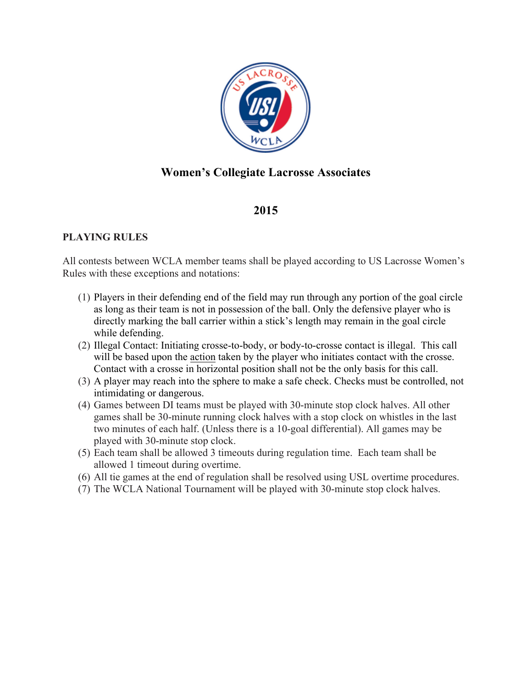

## **Women's Collegiate Lacrosse Associates**

### **2015**

#### **PLAYING RULES**

All contests between WCLA member teams shall be played according to US Lacrosse Women's Rules with these exceptions and notations:

- (1) Players in their defending end of the field may run through any portion of the goal circle as long as their team is not in possession of the ball. Only the defensive player who is directly marking the ball carrier within a stick's length may remain in the goal circle while defending.
- (2) Illegal Contact: Initiating crosse-to-body, or body-to-crosse contact is illegal. This call will be based upon the action taken by the player who initiates contact with the crosse. Contact with a crosse in horizontal position shall not be the only basis for this call.
- (3) A player may reach into the sphere to make a safe check. Checks must be controlled, not intimidating or dangerous.
- (4) Games between DI teams must be played with 30-minute stop clock halves. All other games shall be 30-minute running clock halves with a stop clock on whistles in the last two minutes of each half. (Unless there is a 10-goal differential). All games may be played with 30-minute stop clock.
- (5) Each team shall be allowed 3 timeouts during regulation time. Each team shall be allowed 1 timeout during overtime.
- (6) All tie games at the end of regulation shall be resolved using USL overtime procedures.
- (7) The WCLA National Tournament will be played with 30-minute stop clock halves.